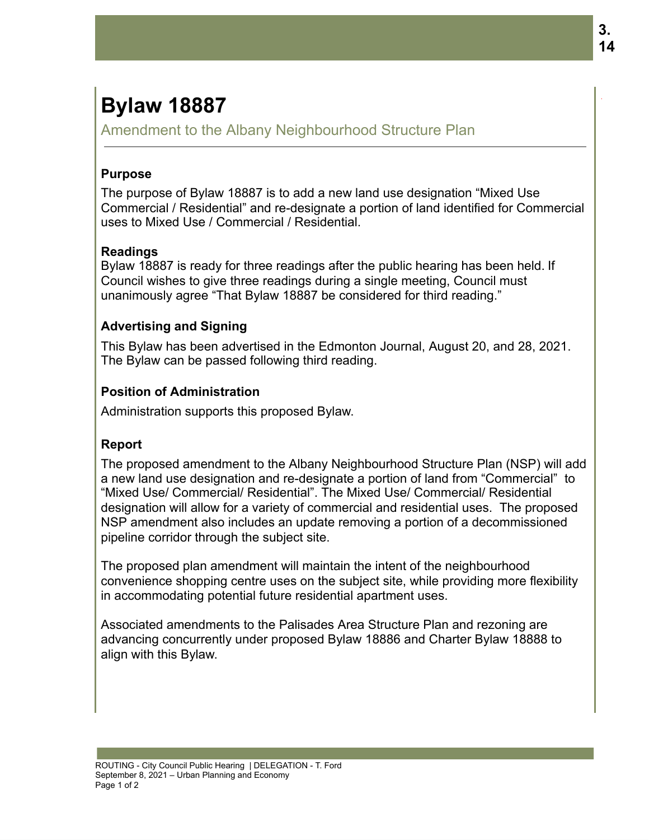# **Bylaw 18887**

Amendment to the Albany Neighbourhood Structure Plan

### **Purpose**

The purpose of Bylaw 18887 is to add a new land use designation "Mixed Use Commercial / Residential" and re-designate a portion of land identified for Commercial uses to Mixed Use / Commercial / Residential.

### **Readings**

Bylaw 18887 is ready for three readings after the public hearing has been held. If Council wishes to give three readings during a single meeting, Council must unanimously agree "That Bylaw 18887 be considered for third reading."

### **Advertising and Signing**

This Bylaw has been advertised in the Edmonton Journal, August 20, and 28, 2021. The Bylaw can be passed following third reading.

### **Position of Administration**

Administration supports this proposed Bylaw.

## **Report**

The proposed amendment to the Albany Neighbourhood Structure Plan (NSP) will add a new land use designation and re-designate a portion of land from "Commercial" to "Mixed Use/ Commercial/ Residential". The Mixed Use/ Commercial/ Residential designation will allow for a variety of commercial and residential uses. The proposed NSP amendment also includes an update removing a portion of a decommissioned pipeline corridor through the subject site.

The proposed plan amendment will maintain the intent of the neighbourhood convenience shopping centre uses on the subject site, while providing more flexibility in accommodating potential future residential apartment uses.

Associated amendments to the Palisades Area Structure Plan and rezoning are advancing concurrently under proposed Bylaw 18886 and Charter Bylaw 18888 to align with this Bylaw.

.